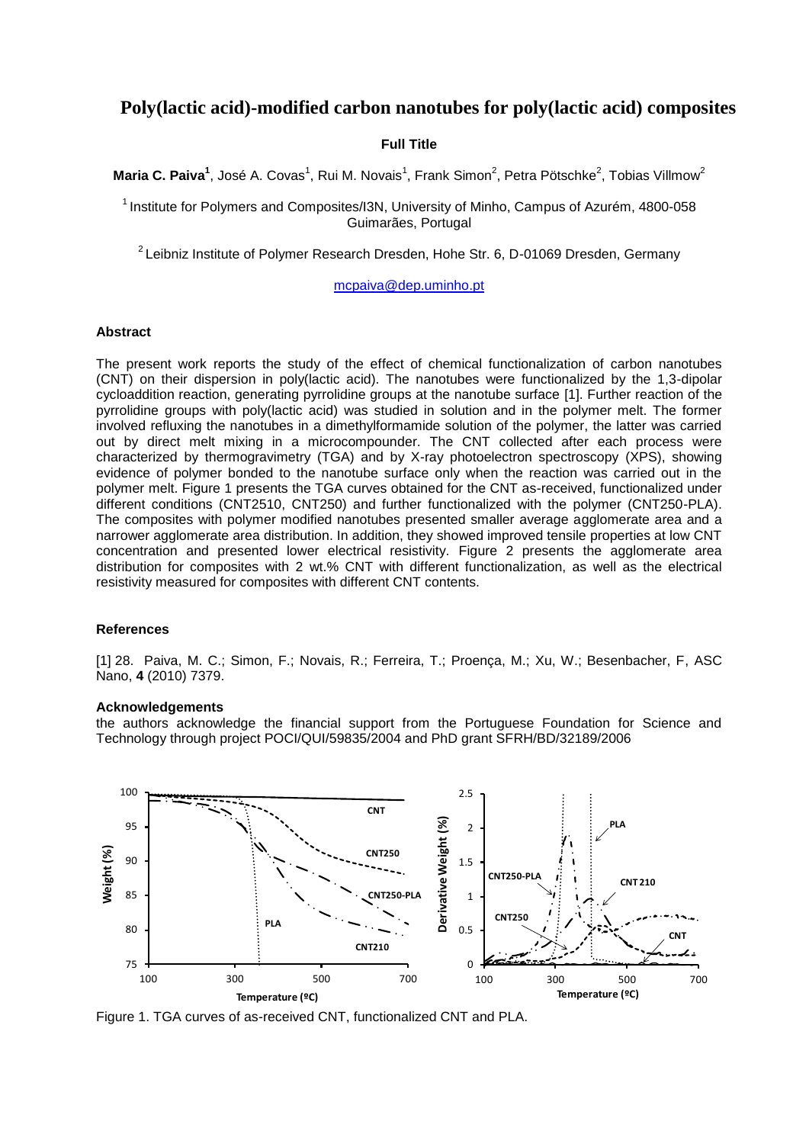# **Poly(lactic acid)-modified carbon nanotubes for poly(lactic acid) composites**

## **Full Title**

**Maria C. Paiva<sup>1</sup>, José A. Covas<sup>1</sup>, Rui M. Novais<sup>1</sup>, Frank Simon<sup>2</sup>, Petra Pötschke<sup>2</sup>, Tobias Villmow<sup>2</sup>** 

 $<sup>1</sup>$  Institute for Polymers and Composites/I3N, University of Minho, Campus of Azurém, 4800-058</sup> Guimarães, Portugal

 $2$  Leibniz Institute of Polymer Research Dresden, Hohe Str. 6, D-01069 Dresden, Germany

#### [mcpaiva@dep.uminho.pt](mailto:mcpaiva@dep.uminho.pt)

## **Abstract**

The present work reports the study of the effect of chemical functionalization of carbon nanotubes (CNT) on their dispersion in poly(lactic acid). The nanotubes were functionalized by the 1,3-dipolar cycloaddition reaction, generating pyrrolidine groups at the nanotube surface [1]. Further reaction of the pyrrolidine groups with poly(lactic acid) was studied in solution and in the polymer melt. The former involved refluxing the nanotubes in a dimethylformamide solution of the polymer, the latter was carried out by direct melt mixing in a microcompounder. The CNT collected after each process were characterized by thermogravimetry (TGA) and by X-ray photoelectron spectroscopy (XPS), showing evidence of polymer bonded to the nanotube surface only when the reaction was carried out in the polymer melt. Figure 1 presents the TGA curves obtained for the CNT as-received, functionalized under different conditions (CNT2510, CNT250) and further functionalized with the polymer (CNT250-PLA). The composites with polymer modified nanotubes presented smaller average agglomerate area and a narrower agglomerate area distribution. In addition, they showed improved tensile properties at low CNT concentration and presented lower electrical resistivity. Figure 2 presents the agglomerate area distribution for composites with 2 wt.% CNT with different functionalization, as well as the electrical resistivity measured for composites with different CNT contents.

## **References**

[1] 28. Paiva, M. C.; Simon, F.; Novais, R.; Ferreira, T.; Proença, M.; Xu, W.; Besenbacher, F, ASC Nano, **4** (2010) 7379.

#### **Acknowledgements**

the authors acknowledge the financial support from the Portuguese Foundation for Science and Technology through project POCI/QUI/59835/2004 and PhD grant SFRH/BD/32189/2006



Figure 1. TGA curves of as-received CNT, functionalized CNT and PLA.